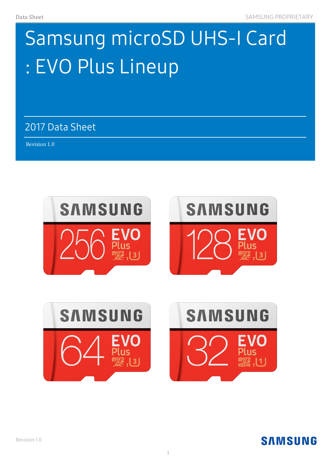# Samsung microSD UHS-I Card : EVO Plus Lineup

2017 Data Sheet

Revision 1.0 )



# **SAMSUNG**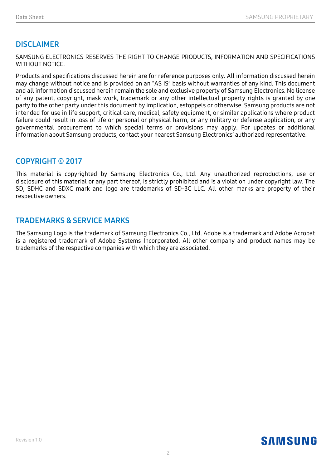### **DISCLAIMER**

SAMSUNG ELECTRONICS RESERVES THE RIGHT TO CHANGE PRODUCTS, INFORMATION AND SPECIFICATIONS WITHOUT NOTICE.

Products and specifications discussed herein are for reference purposes only. All information discussed herein may change without notice and is provided on an "AS IS" basis without warranties of any kind. This document and all information discussed herein remain the sole and exclusive property of Samsung Electronics. No license of any patent, copyright, mask work, trademark or any other intellectual property rights is granted by one party to the other party under this document by implication, estoppels or otherwise. Samsung products are not intended for use in life support, critical care, medical, safety equipment, or similar applications where product failure could result in loss of life or personal or physical harm, or any military or defense application, or any governmental procurement to which special terms or provisions may apply. For updates or additional information about Samsung products, contact your nearest Samsung Electronics' authorized representative.

#### **COPYRIGHT © 2017**

This material is copyrighted by Samsung Electronics Co., Ltd. Any unauthorized reproductions, use or disclosure of this material or any part thereof, is strictly prohibited and is a violation under copyright law. The SD, SDHC and SDXC mark and logo are trademarks of SD-3C LLC. All other marks are property of their respective owners.

#### **TRADEMARKS & SERVICE MARKS**

The Samsung Logo is the trademark of Samsung Electronics Co., Ltd. Adobe is a trademark and Adobe Acrobat is a registered trademark of Adobe Systems Incorporated. All other company and product names may be trademarks of the respective companies with which they are associated.

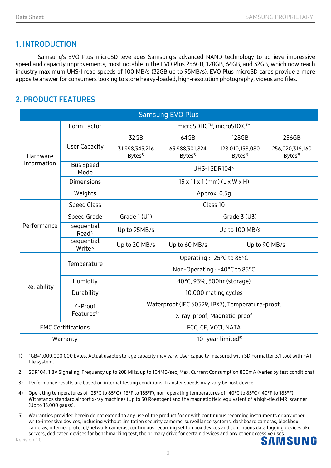## **1. INTRODUCTION**

Samsung's EVO Plus microSD leverages Samsung's advanced NAND technology to achieve impressive speed and capacity improvements, most notable in the EVO Plus 256GB, 128GB, 64GB, and 32GB, which now reach industry maximum UHS-I read speeds of 100 MB/s (32GB up to 95MB/s). EVO Plus microSD cards provide a more apposite answer for consumers looking to store heavy-loaded, high-resolution photography, videos and files.

# **2. PRODUCT FEATURES**

| <b>Samsung EVO Plus</b>   |                                   |                                                  |                                      |                                       |                                       |  |
|---------------------------|-----------------------------------|--------------------------------------------------|--------------------------------------|---------------------------------------|---------------------------------------|--|
| Hardware<br>Information   | Form Factor                       | microSDHC™, microSDXC™                           |                                      |                                       |                                       |  |
|                           | <b>User Capacity</b>              | 32GB                                             | 64GB                                 | 128GB                                 | 256GB                                 |  |
|                           |                                   | 31,998,345,216<br>$B$ ytes <sup>1)</sup>         | 63,988,301,824<br>Bytes <sup>1</sup> | 128,010,158,080<br>Bvtes <sup>1</sup> | 256,020,316,160<br>Bytes <sup>1</sup> |  |
|                           | <b>Bus Speed</b><br>Mode          | UHS-I SDR104 <sup>2)</sup>                       |                                      |                                       |                                       |  |
|                           | <b>Dimensions</b>                 | $15 \times 11 \times 1$ (mm) (L x W x H)         |                                      |                                       |                                       |  |
|                           | Weights                           | Approx. 0.5g                                     |                                      |                                       |                                       |  |
| Performance               | <b>Speed Class</b>                | Class 10                                         |                                      |                                       |                                       |  |
|                           | Speed Grade                       | Grade 1 (U1)                                     | Grade $3$ (U3)                       |                                       |                                       |  |
|                           | Sequential<br>Read <sup>3</sup>   | Up to 95MB/s                                     | Up to 100 MB/s                       |                                       |                                       |  |
|                           | Sequential<br>$Write^{3}$         | Up to 20 MB/s                                    | Up to 90 MB/s<br>Up to 60 MB/s       |                                       |                                       |  |
| Reliability               | Temperature                       | Operating: -25°C to 85°C                         |                                      |                                       |                                       |  |
|                           |                                   | Non-Operating : -40°C to 85°C                    |                                      |                                       |                                       |  |
|                           | Humidity                          | 40°C, 93%, 500hr (storage)                       |                                      |                                       |                                       |  |
|                           | Durability                        | 10,000 mating cycles                             |                                      |                                       |                                       |  |
|                           | 4-Proof<br>Features <sup>4)</sup> | Waterproof (IEC 60529, IPX7), Temperature-proof, |                                      |                                       |                                       |  |
|                           |                                   | X-ray-proof, Magnetic-proof                      |                                      |                                       |                                       |  |
| <b>EMC Certifications</b> |                                   | FCC, CE, VCCI, NATA                              |                                      |                                       |                                       |  |
| Warranty                  |                                   | 10 year limited <sup>5)</sup>                    |                                      |                                       |                                       |  |

- 1) 1GB=1,000,000,000 bytes. Actual usable storage capacity may vary. User capacity measured with SD Formatter 3.1 tool with FAT file system.
- 2) SDR104: 1.8V Signaling, Frequency up to 208 MHz, up to 104MB/sec, Max. Current Consumption 800mA (varies by test conditions)
- 3) Performance results are based on internal testing conditions. Transfer speeds may vary by host device.
- 4) Operating temperatures of -25°C to 85°C (-13°F to 185°F), non-operating temperatures of -40°C to 85°C (-40°F to 185°F). Withstands standard airport x-ray machines (Up to 50 Roentgen) and the magnetic field equivalent of a high-field MRI scanner (Up to 15,000 gauss).
- 5) Warranties provided herein do not extend to any use of the product for or with continuous recording instruments or any other write-intensive devices, including without limitation security cameras, surveillance systems, dashboard cameras, blackbox cameras, internet protocol/network cameras, continuous recording set top box devices and continuous data logging devices like servers, dedicated devices for benchmarking test, the primary drive for certain devices and any other excessive uses.SAMSUNG

3

Revision 1.0